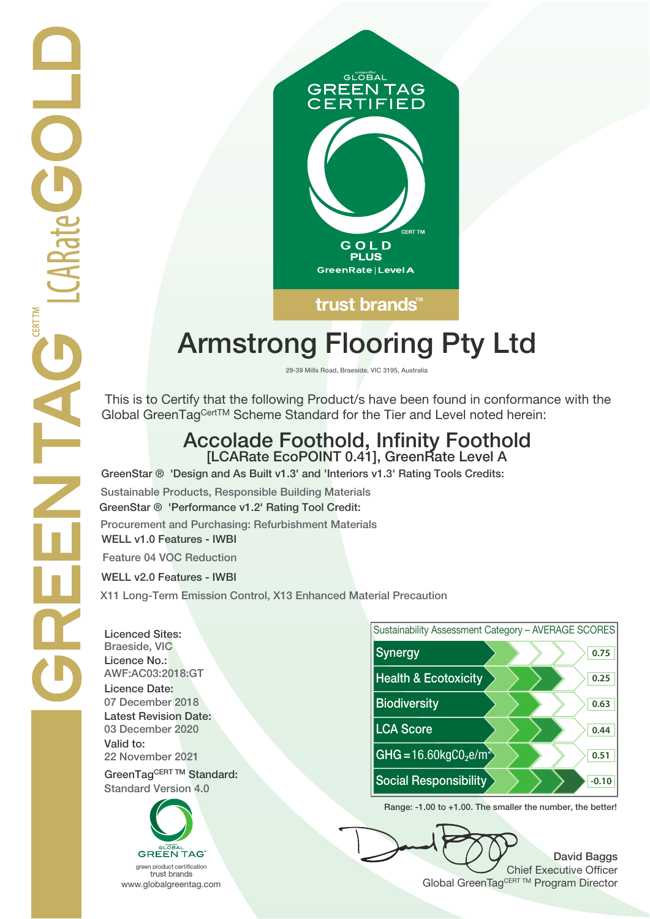

## **Armstrong Flooring Pty Ltd**

**29-39 Mills Road, Braeside, VIC 3195, Australia**

 This is to Certify that the following Product/s have been found in conformance with the Global GreenTagCertTM Scheme Standard for the Tier and Level noted herein:

# **Accolade Foothold, Infinity Foothold [LCARate EcoPOINT 0.41], GreenRate Level A**

**GreenStar ® 'Design and As Built v1.3' and 'Interiors v1.3' Rating Tools Credits:**

**Sustainable Products, Responsible Building Materials GreenStar ® 'Performance v1.2' Rating Tool Credit: Procurement and Purchasing: Refurbishment Materials WELL v1.0 Features - IWBI**

**Feature 04 VOC Reduction**

**WELL v2.0 Features - IWBI**

**X11 Long-Term Emission Control, X13 Enhanced Material Precaution**

**Licenced Sites: Licence No.: Licence Date: Latest Revision Date: Valid to:**

**Standard Version 4.0**





**Range: -1.00 to +1.00. The smaller the number, the better!**

**David Baggs** Chief Executive Officer WWW.globalgreentag.com **Program Director** Clobal GreenTagCERT TM Program Director